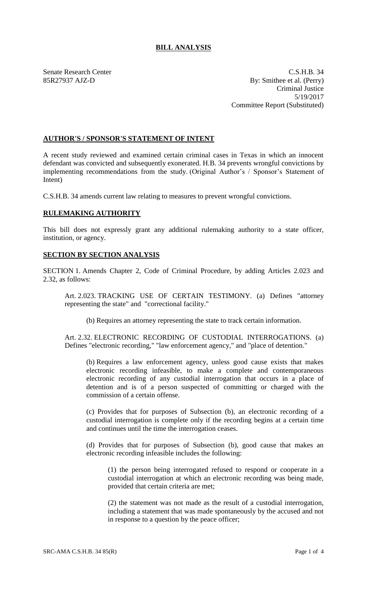## **BILL ANALYSIS**

Senate Research Center C.S.H.B. 34 85R27937 AJZ-D By: Smithee et al. (Perry) Criminal Justice 5/19/2017 Committee Report (Substituted)

## **AUTHOR'S / SPONSOR'S STATEMENT OF INTENT**

A recent study reviewed and examined certain criminal cases in Texas in which an innocent defendant was convicted and subsequently exonerated. H.B. 34 prevents wrongful convictions by implementing recommendations from the study. (Original Author's / Sponsor's Statement of Intent)

C.S.H.B. 34 amends current law relating to measures to prevent wrongful convictions.

## **RULEMAKING AUTHORITY**

This bill does not expressly grant any additional rulemaking authority to a state officer, institution, or agency.

## **SECTION BY SECTION ANALYSIS**

SECTION 1. Amends Chapter 2, Code of Criminal Procedure, by adding Articles 2.023 and 2.32, as follows:

Art. 2.023. TRACKING USE OF CERTAIN TESTIMONY. (a) Defines "attorney representing the state" and "correctional facility."

(b) Requires an attorney representing the state to track certain information.

Art. 2.32. ELECTRONIC RECORDING OF CUSTODIAL INTERROGATIONS. (a) Defines "electronic recording," "law enforcement agency," and "place of detention."

(b) Requires a law enforcement agency, unless good cause exists that makes electronic recording infeasible, to make a complete and contemporaneous electronic recording of any custodial interrogation that occurs in a place of detention and is of a person suspected of committing or charged with the commission of a certain offense.

(c) Provides that for purposes of Subsection (b), an electronic recording of a custodial interrogation is complete only if the recording begins at a certain time and continues until the time the interrogation ceases.

(d) Provides that for purposes of Subsection (b), good cause that makes an electronic recording infeasible includes the following:

(1) the person being interrogated refused to respond or cooperate in a custodial interrogation at which an electronic recording was being made, provided that certain criteria are met;

(2) the statement was not made as the result of a custodial interrogation, including a statement that was made spontaneously by the accused and not in response to a question by the peace officer;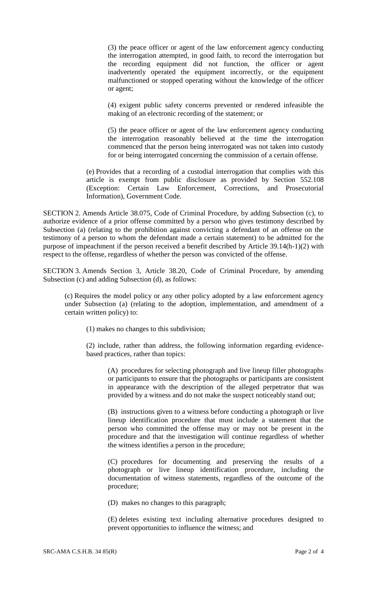(3) the peace officer or agent of the law enforcement agency conducting the interrogation attempted, in good faith, to record the interrogation but the recording equipment did not function, the officer or agent inadvertently operated the equipment incorrectly, or the equipment malfunctioned or stopped operating without the knowledge of the officer or agent;

(4) exigent public safety concerns prevented or rendered infeasible the making of an electronic recording of the statement; or

(5) the peace officer or agent of the law enforcement agency conducting the interrogation reasonably believed at the time the interrogation commenced that the person being interrogated was not taken into custody for or being interrogated concerning the commission of a certain offense.

(e) Provides that a recording of a custodial interrogation that complies with this article is exempt from public disclosure as provided by Section 552.108 (Exception: Certain Law Enforcement, Corrections, and Prosecutorial Information), Government Code.

SECTION 2. Amends Article 38.075, Code of Criminal Procedure, by adding Subsection (c), to authorize evidence of a prior offense committed by a person who gives testimony described by Subsection (a) (relating to the prohibition against convicting a defendant of an offense on the testimony of a person to whom the defendant made a certain statement) to be admitted for the purpose of impeachment if the person received a benefit described by Article 39.14(h-1)(2) with respect to the offense, regardless of whether the person was convicted of the offense.

SECTION 3. Amends Section 3, Article 38.20, Code of Criminal Procedure, by amending Subsection (c) and adding Subsection (d), as follows:

(c) Requires the model policy or any other policy adopted by a law enforcement agency under Subsection (a) (relating to the adoption, implementation, and amendment of a certain written policy) to:

(1) makes no changes to this subdivision;

(2) include, rather than address, the following information regarding evidencebased practices, rather than topics:

(A) procedures for selecting photograph and live lineup filler photographs or participants to ensure that the photographs or participants are consistent in appearance with the description of the alleged perpetrator that was provided by a witness and do not make the suspect noticeably stand out;

(B) instructions given to a witness before conducting a photograph or live lineup identification procedure that must include a statement that the person who committed the offense may or may not be present in the procedure and that the investigation will continue regardless of whether the witness identifies a person in the procedure;

(C) procedures for documenting and preserving the results of a photograph or live lineup identification procedure, including the documentation of witness statements, regardless of the outcome of the procedure;

(D) makes no changes to this paragraph;

(E) deletes existing text including alternative procedures designed to prevent opportunities to influence the witness; and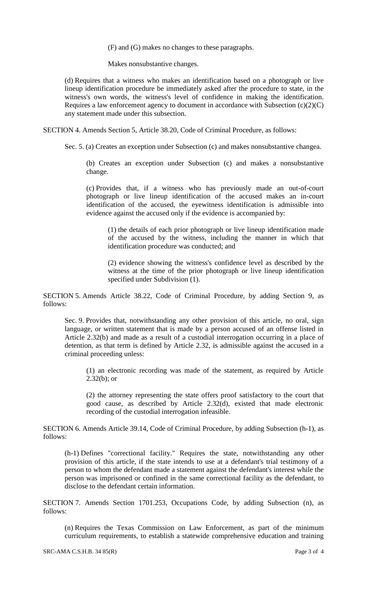(F) and (G) makes no changes to these paragraphs.

Makes nonsubstantive changes.

(d) Requires that a witness who makes an identification based on a photograph or live lineup identification procedure be immediately asked after the procedure to state, in the witness's own words, the witness's level of confidence in making the identification. Requires a law enforcement agency to document in accordance with Subsection  $(c)(2)(C)$ any statement made under this subsection.

SECTION 4. Amends Section 5, Article 38.20, Code of Criminal Procedure, as follows:

Sec. 5. (a) Creates an exception under Subsection (c) and makes nonsubstantive changea.

(b) Creates an exception under Subsection (c) and makes a nonsubstantive change.

(c) Provides that, if a witness who has previously made an out-of-court photograph or live lineup identification of the accused makes an in-court identification of the accused, the eyewitness identification is admissible into evidence against the accused only if the evidence is accompanied by:

(1) the details of each prior photograph or live lineup identification made of the accused by the witness, including the manner in which that identification procedure was conducted; and

(2) evidence showing the witness's confidence level as described by the witness at the time of the prior photograph or live lineup identification specified under Subdivision (1).

SECTION 5. Amends Article 38.22, Code of Criminal Procedure, by adding Section 9, as follows:

Sec. 9. Provides that, notwithstanding any other provision of this article, no oral, sign language, or written statement that is made by a person accused of an offense listed in Article 2.32(b) and made as a result of a custodial interrogation occurring in a place of detention, as that term is defined by Article 2.32, is admissible against the accused in a criminal proceeding unless:

(1) an electronic recording was made of the statement, as required by Article  $2.32(b)$ ; or

(2) the attorney representing the state offers proof satisfactory to the court that good cause, as described by Article 2.32(d), existed that made electronic recording of the custodial interrogation infeasible.

SECTION 6. Amends Article 39.14, Code of Criminal Procedure, by adding Subsection (h-1), as follows:

(h-1) Defines "correctional facility." Requires the state, notwithstanding any other provision of this article, if the state intends to use at a defendant's trial testimony of a person to whom the defendant made a statement against the defendant's interest while the person was imprisoned or confined in the same correctional facility as the defendant, to disclose to the defendant certain information.

SECTION 7. Amends Section 1701.253, Occupations Code, by adding Subsection (n), as follows:

(n) Requires the Texas Commission on Law Enforcement, as part of the minimum curriculum requirements, to establish a statewide comprehensive education and training